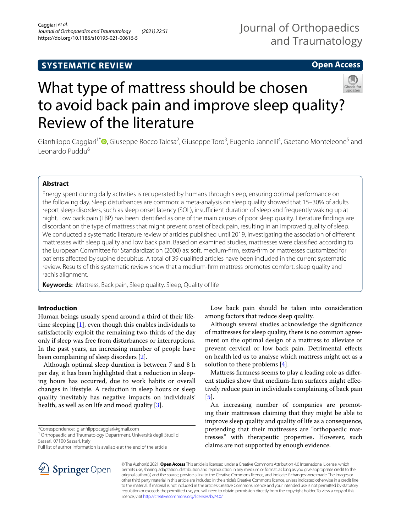## **SYSTEMATIC REVIEW**

## Journal of Orthopaedics and Traumatology

## **Open Access**



# What type of mattress should be chosen to avoid back pain and improve sleep quality? Review of the literature

Gianfilippo Caggiari<sup>1\*</sup><sup>®</sup>[,](http://orcid.org/0000-0002-7618-6732) Giuseppe Rocco Talesa<sup>2</sup>, Giuseppe Toro<sup>3</sup>, Eugenio Jannelli<sup>4</sup>, Gaetano Monteleone<sup>5</sup> and Leonardo Puddu<sup>6</sup>

## **Abstract**

Energy spent during daily activities is recuperated by humans through sleep, ensuring optimal performance on the following day. Sleep disturbances are common: a meta-analysis on sleep quality showed that 15–30% of adults report sleep disorders, such as sleep onset latency (SOL), insufficient duration of sleep and frequently waking up at night. Low back pain (LBP) has been identifed as one of the main causes of poor sleep quality. Literature fndings are discordant on the type of mattress that might prevent onset of back pain, resulting in an improved quality of sleep. We conducted a systematic literature review of articles published until 2019, investigating the association of diferent mattresses with sleep quality and low back pain. Based on examined studies, mattresses were classifed according to the European Committee for Standardization (2000) as: soft, medium-frm, extra-frm or mattresses customized for patients afected by supine decubitus. A total of 39 qualifed articles have been included in the current systematic review. Results of this systematic review show that a medium-frm mattress promotes comfort, sleep quality and rachis alignment.

**Keywords:** Mattress, Back pain, Sleep quality, Sleep, Quality of life

## **Introduction**

Human beings usually spend around a third of their lifetime sleeping [\[1](#page-22-0)], even though this enables individuals to satisfactorily exploit the remaining two-thirds of the day only if sleep was free from disturbances or interruptions. In the past years, an increasing number of people have been complaining of sleep disorders [[2\]](#page-22-1).

Although optimal sleep duration is between 7 and 8 h per day, it has been highlighted that a reduction in sleeping hours has occurred, due to work habits or overall changes in lifestyle. A reduction in sleep hours or sleep quality inevitably has negative impacts on individuals' health, as well as on life and mood quality [[3\]](#page-22-2).

<sup>1</sup> Orthopaedic and Traumatology Department, Università degli Studi di Sassari, 07100 Sassari, Italy

Full list of author information is available at the end of the article

Low back pain should be taken into consideration among factors that reduce sleep quality.

Although several studies acknowledge the signifcance of mattresses for sleep quality, there is no common agreement on the optimal design of a mattress to alleviate or prevent cervical or low back pain. Detrimental efects on health led us to analyse which mattress might act as a solution to these problems [[4](#page-22-3)].

Mattress frmness seems to play a leading role as diferent studies show that medium-frm surfaces might efectively reduce pain in individuals complaining of back pain [[5\]](#page-23-0).

An increasing number of companies are promoting their mattresses claiming that they might be able to improve sleep quality and quality of life as a consequence, pretending that their mattresses are "orthopaedic mattresses" with therapeutic properties. However, such claims are not supported by enough evidence.



© The Author(s) 2021. **Open Access** This article is licensed under a Creative Commons Attribution 4.0 International License, which permits use, sharing, adaptation, distribution and reproduction in any medium or format, as long as you give appropriate credit to the original author(s) and the source, provide a link to the Creative Commons licence, and indicate if changes were made. The images or other third party material in this article are included in the article's Creative Commons licence, unless indicated otherwise in a credit line to the material. If material is not included in the article's Creative Commons licence and your intended use is not permitted by statutory regulation or exceeds the permitted use, you will need to obtain permission directly from the copyright holder. To view a copy of this licence, visit [http://creativecommons.org/licenses/by/4.0/.](http://creativecommons.org/licenses/by/4.0/)

<sup>\*</sup>Correspondence: gianflippocaggiari@gmail.com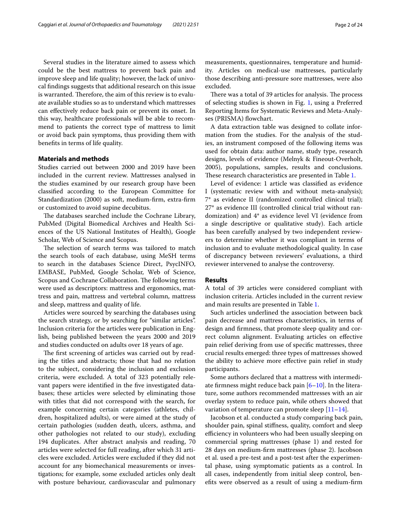Several studies in the literature aimed to assess which could be the best mattress to prevent back pain and improve sleep and life quality; however, the lack of univocal fndings suggests that additional research on this issue is warranted. Therefore, the aim of this review is to evaluate available studies so as to understand which mattresses can efectively reduce back pain or prevent its onset. In this way, healthcare professionals will be able to recommend to patients the correct type of mattress to limit or avoid back pain symptoms, thus providing them with benefts in terms of life quality.

## **Materials and methods**

Studies carried out between 2000 and 2019 have been included in the current review. Mattresses analysed in the studies examined by our research group have been classifed according to the European Committee for Standardization (2000) as soft, medium-frm, extra-frm or customized to avoid supine decubitus.

The databases searched include the Cochrane Library, PubMed (Digital Biomedical Archives and Health Sciences of the US National Institutes of Health), Google Scholar, Web of Science and Scopus.

The selection of search terms was tailored to match the search tools of each database, using MeSH terms to search in the databases Science Direct, PsycINFO, EMBASE, PubMed, Google Scholar, Web of Science, Scopus and Cochrane Collaboration. The following terms were used as descriptors: mattress and ergonomics, mattress and pain, mattress and vertebral column, mattress and sleep, mattress and quality of life.

Articles were sourced by searching the databases using the search strategy, or by searching for "similar articles". Inclusion criteria for the articles were publication in English, being published between the years 2000 and 2019 and studies conducted on adults over 18 years of age.

The first screening of articles was carried out by reading the titles and abstracts; those that had no relation to the subject, considering the inclusion and exclusion criteria, were excluded. A total of 323 potentially relevant papers were identified in the five investigated databases; these articles were selected by eliminating those with titles that did not correspond with the search, for example concerning certain categories (athletes, children, hospitalized adults), or were aimed at the study of certain pathologies (sudden death, ulcers, asthma, and other pathologies not related to our study), excluding 194 duplicates. After abstract analysis and reading, 70 articles were selected for full reading, after which 31 articles were excluded. Articles were excluded if they did not account for any biomechanical measurements or investigations; for example, some excluded articles only dealt with posture behaviour, cardiovascular and pulmonary measurements, questionnaires, temperature and humidity. Articles on medical-use mattresses, particularly those describing anti-pressure sore mattresses, were also excluded.

There was a total of 39 articles for analysis. The process of selecting studies is shown in Fig. [1,](#page-2-0) using a Preferred Reporting Items for Systematic Reviews and Meta-Analyses (PRISMA) flowchart.

A data extraction table was designed to collate information from the studies. For the analysis of the studies, an instrument composed of the following items was used for obtain data: author name, study type, research designs, levels of evidence (Melnyk & Fineout-Overholt, 2005), populations, samples, results and conclusions. These research characteristics are presented in Table [1](#page-3-0).

Level of evidence: 1 article was classifed as evidence I (systematic review with and without meta-analysis); 7\* as evidence II (randomized controlled clinical trial); 27\* as evidence III (controlled clinical trial without randomization) and 4\* as evidence level VI (evidence from a single descriptive or qualitative study). Each article has been carefully analysed by two independent reviewers to determine whether it was compliant in terms of inclusion and to evaluate methodological quality. In case of discrepancy between reviewers' evaluations, a third reviewer intervened to analyse the controversy.

#### **Results**

A total of 39 articles were considered compliant with inclusion criteria. Articles included in the current review and main results are presented in Table [1.](#page-3-0)

Such articles underlined the association between back pain decrease and mattress characteristics, in terms of design and frmness, that promote sleep quality and correct column alignment. Evaluating articles on efective pain relief deriving from use of specifc mattresses, three crucial results emerged: three types of mattresses showed the ability to achieve more efective pain relief in study participants.

Some authors declared that a mattress with intermediate frmness might reduce back pain [[6–](#page-23-1)[10](#page-23-2)]. In the literature, some authors recommended mattresses with an air overlay system to reduce pain, while others showed that variation of temperature can promote sleep  $[11-14]$  $[11-14]$ .

Jacobson et al. conducted a study comparing back pain, shoulder pain, spinal stifness, quality, comfort and sleep efficiency in volunteers who had been usually sleeping on commercial spring mattresses (phase 1) and rested for 28 days on medium-frm mattresses (phase 2). Jacobson et al. used a pre-test and a post-test after the experimental phase, using symptomatic patients as a control. In all cases, independently from initial sleep control, benefts were observed as a result of using a medium-frm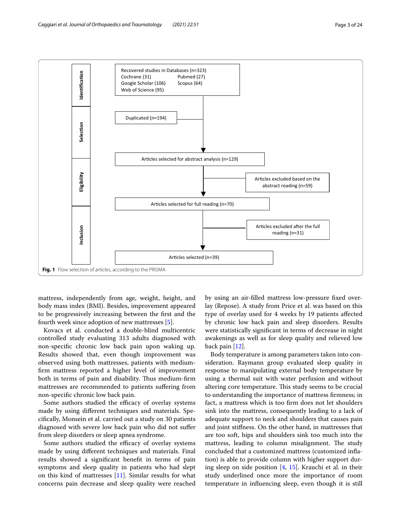

<span id="page-2-0"></span>mattress, independently from age, weight, height, and body mass index (BMI). Besides, improvement appeared to be progressively increasing between the frst and the fourth week since adoption of new mattresses [\[5](#page-23-0)].

Kovacs et al. conducted a double-blind multicentric controlled study evaluating 313 adults diagnosed with non-specifc chronic low back pain upon waking up. Results showed that, even though improvement was observed using both mattresses, patients with mediumfrm mattress reported a higher level of improvement both in terms of pain and disability. Thus medium-firm mattresses are recommended to patients sufering from non-specifc chronic low back pain.

Some authors studied the efficacy of overlay systems made by using diferent techniques and materials. Specifcally, Monsein et al. carried out a study on 30 patients diagnosed with severe low back pain who did not sufer from sleep disorders or sleep apnea syndrome.

Some authors studied the efficacy of overlay systems made by using diferent techniques and materials. Final results showed a signifcant beneft in terms of pain symptoms and sleep quality in patients who had slept on this kind of mattresses [[11\]](#page-23-3). Similar results for what concerns pain decrease and sleep quality were reached by using an air-flled mattress low-pressure fxed overlay (Repose). A study from Price et al. was based on this type of overlay used for 4 weeks by 19 patients afected by chronic low back pain and sleep disorders. Results were statistically signifcant in terms of decrease in night awakenings as well as for sleep quality and relieved low back pain [\[12](#page-23-5)].

Body temperature is among parameters taken into consideration. Raymann group evaluated sleep quality in response to manipulating external body temperature by using a thermal suit with water perfusion and without altering core temperature. This study seems to be crucial to understanding the importance of mattress frmness; in fact, a mattress which is too frm does not let shoulders sink into the mattress, consequently leading to a lack of adequate support to neck and shoulders that causes pain and joint stifness. On the other hand, in mattresses that are too soft, hips and shoulders sink too much into the mattress, leading to column misalignment. The study concluded that a customized mattress (customized infation) is able to provide column with higher support during sleep on side position  $[4, 15]$  $[4, 15]$  $[4, 15]$  $[4, 15]$  $[4, 15]$ . Krauchi et al. in their study underlined once more the importance of room temperature in infuencing sleep, even though it is still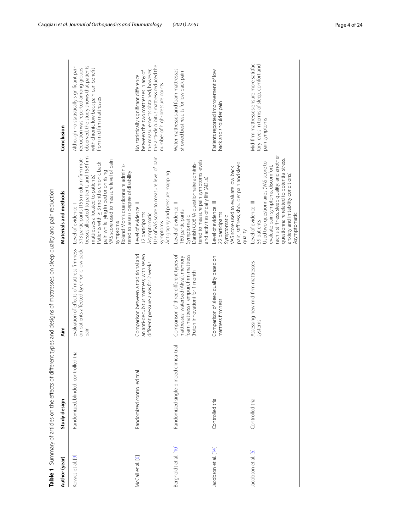<span id="page-3-0"></span>

|             | ֕                                   |
|-------------|-------------------------------------|
|             | ׇׇ֚֘֡<br>J                          |
|             |                                     |
| i           |                                     |
|             | ׇ֚֘֝֬                               |
|             |                                     |
|             | i                                   |
|             | ֦֧֖֖֖֖֖֖֖֖֖֪ׅ֚֚֚֚֚֚֚֚֚֚֚֝֬ <u>֓</u> |
|             |                                     |
|             | $\frac{1}{2}$                       |
|             |                                     |
|             |                                     |
| ļ           |                                     |
|             |                                     |
|             |                                     |
|             |                                     |
|             |                                     |
|             |                                     |
|             |                                     |
|             |                                     |
|             |                                     |
|             |                                     |
|             |                                     |
| i           |                                     |
|             | ļ                                   |
|             | Ò<br>l<br>J                         |
|             | ï                                   |
|             |                                     |
|             |                                     |
|             |                                     |
|             |                                     |
|             |                                     |
|             |                                     |
|             | )<br>)                              |
|             | i                                   |
|             |                                     |
|             |                                     |
|             |                                     |
|             |                                     |
|             |                                     |
|             |                                     |
|             |                                     |
|             |                                     |
|             |                                     |
|             |                                     |
|             |                                     |
| I           |                                     |
|             |                                     |
| i           | i                                   |
| í           | ١                                   |
|             | j<br>j                              |
|             | l                                   |
|             |                                     |
|             | ֚֚֬<br>l                            |
|             |                                     |
|             |                                     |
|             |                                     |
|             |                                     |
|             | í                                   |
|             | Ó                                   |
|             | $\overline{a}$                      |
|             | į                                   |
|             |                                     |
|             |                                     |
|             |                                     |
| Ì           |                                     |
|             |                                     |
|             |                                     |
|             |                                     |
|             |                                     |
|             | l                                   |
|             |                                     |
|             |                                     |
|             |                                     |
|             |                                     |
|             |                                     |
|             |                                     |
|             |                                     |
|             | )<br>)<br>)<br>)                    |
|             | j                                   |
|             |                                     |
|             | Ì                                   |
| ı           |                                     |
|             |                                     |
| ļ           |                                     |
|             | ١                                   |
|             |                                     |
| .<br>.      |                                     |
|             |                                     |
|             |                                     |
|             |                                     |
|             |                                     |
|             |                                     |
| .<br>.<br>. |                                     |
|             |                                     |
|             |                                     |
|             |                                     |
| i           |                                     |
|             | 5                                   |
|             |                                     |
|             |                                     |
|             |                                     |
|             | i                                   |
|             | ١                                   |
| ţ           | i                                   |
|             |                                     |
|             |                                     |
|             |                                     |
|             |                                     |
|             | $\frac{e}{2}$                       |

|                       | Table 1 Summary of articles on the effects of different | types and designs of mattresses, on sleep quality and pain reduction                                                                                     |                                                                                                                                                                                                                                                                                                                                                                             |                                                                                                                                                                                                     |
|-----------------------|---------------------------------------------------------|----------------------------------------------------------------------------------------------------------------------------------------------------------|-----------------------------------------------------------------------------------------------------------------------------------------------------------------------------------------------------------------------------------------------------------------------------------------------------------------------------------------------------------------------------|-----------------------------------------------------------------------------------------------------------------------------------------------------------------------------------------------------|
| Author (year)         | Study design                                            | ۸im                                                                                                                                                      | Materials and methods                                                                                                                                                                                                                                                                                                                                                       | Conclusion                                                                                                                                                                                          |
| Kovacs et al. [9]     | Randomized, blinded, controlled trial                   | Evaluation of effects of mattress firmness<br>on patients affected by chronic low back<br>pain                                                           | tresses allocated to patients and 158 firm<br>313 participants (155 medium-firm mat-<br>VAS score used to measure level of pain<br>Patients with $\geq$ 3 months chronic back<br>Roland Morris questionnaire adminis-<br>pain while lying in bed or on rising<br>ered to assess degree of disability<br>mattresses allocated to patients)<br>Level of evidence:<br>symptoms | observed, the study shows that patients<br>Although no statistically significant pain<br>reduction was reported among groups<br>with chronic low back pain can benefit<br>from mid-firm mattresses  |
| McCall et al. [6]     | Randomized controlled trial                             | Comparison between a traditional and<br>an anti-decubitus mattress, with seven<br>different pressure areas for 2 weeks                                   | Jse of VAS score to measure level of pain<br>Actigraphy and pressure mapping<br>evel of evidence: Il<br>12 participants<br>Asymptomatic<br>symptoms                                                                                                                                                                                                                         | the anti-decubitus mattress reduced the<br>the measurements obtained; however,<br>between the two mattresses in any of<br>No statistically significant difference<br>number of high-pressure points |
| Bergholdt et al. [10] | trial<br>Randomized single-blinded clinical             | Comparison of three different types of<br>foam mattress (Tempur), firm mattress<br>mattresses: waterbed (Akva), memory<br>(Futon Innovation) for 1 month | tered to measure pain symptoms levels<br>Danish COBRA questionnaire adminis-<br>and activities of daily life (ADLs)<br>evel of evidence: II<br>60 participants<br>Symptomatic                                                                                                                                                                                               | Water mattresses and foam mattresses<br>showed best results for low back pain                                                                                                                       |
| Jacobson et al. [14]  | Controlled trial                                        | Comparison of sleep quality based on<br>mattress firmness                                                                                                | pain, stiffness, shoulder pain and sleep<br>VAS score used to evaluate low back<br>Level of evidence: III<br>22 participants<br>Symptomatic<br>quality                                                                                                                                                                                                                      | Patients reported improvement of low<br>back and shoulder pain                                                                                                                                      |
| Jacobson et al. [5]   | Controlled trial                                        | Assessing new mid-firm mattresses<br>systems                                                                                                             | rachis stiffness, sleep quality; and another<br>questionnaire related to potential stress,<br>Used two questionnaires (VAS score to<br>evaluate pain symptoms, discomfort,<br>anxiety and irritability conditions)<br>Level of evidence: III<br>Asymptomatic<br>59 patients                                                                                                 | Mid-firm mattresses ensure more satisfac-<br>tory levels in terms of sleep, comfort and<br>pain symptoms                                                                                            |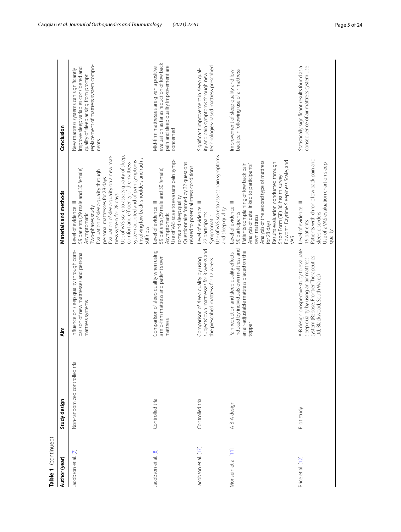| Table 1 (continued)  |                                 |                                                                                                                                                             |                                                                                                                                                                                                                                                                                                                                                                                                                                                |                                                                                                                                                                            |
|----------------------|---------------------------------|-------------------------------------------------------------------------------------------------------------------------------------------------------------|------------------------------------------------------------------------------------------------------------------------------------------------------------------------------------------------------------------------------------------------------------------------------------------------------------------------------------------------------------------------------------------------------------------------------------------------|----------------------------------------------------------------------------------------------------------------------------------------------------------------------------|
| Author (year)        | Study design                    | ٩i                                                                                                                                                          | Materials and methods                                                                                                                                                                                                                                                                                                                                                                                                                          | Conclusion                                                                                                                                                                 |
| Jacobson et al. [7]  | Non-randomized controlled trial | Influence on sleep quality through com-<br>parison of new mattresses and personal<br>mattress systems                                                       | Evaluation of sleep quality on a new mat-<br>Use of VAS scale to assess quality of sleep,<br>involving low back, shoulders and rachis<br>system adopted and of pain symptoms<br>comfort and efficiency of the mattress<br>59 patients (29 male and 30 female)<br>Evaluation of sleep quality through<br>personal mattresses for 28 days<br>tress system for 28 days<br>Level of evidence: III<br>Two-phases study<br>Asymptomatic<br>stiffness | replacement of mattress system compo-<br>improve sleep variables considered and<br>New mattress systems can significantly<br>quality of sleep arising from prompt<br>nents |
| Jacobson et al. [8]  | Controlled trial                | Comparison of sleep quality when using<br>a mid-firm mattress and patient's own<br>mattress                                                                 | Use of VAS scale to evaluate pain symp-<br>Questionnaire formed by 32 questions<br>related to potential stress conditions<br>59 patients (29 male and 30 female)<br>toms and sleep quality<br>Level of evidence: III<br>Asymptomatic                                                                                                                                                                                                           | evaluation as far as reduction of low back<br>pain and sleep quality improvement are<br>Mid-firm mattresses are given a positive<br>concerned                              |
| Jacobson et al. [17] | Controlled trial                | subjects' own mattresses for 3 weeks and<br>Comparison of sleep quality by using<br>the prescribed mattress for 12 weeks                                    | Use of VAS scale to assess pain symptoms<br>Level of evidence: III<br>and sleep quality<br>27 participants<br>Symptomatic                                                                                                                                                                                                                                                                                                                      | technologies-based mattress prescribed<br>Significant improvement in sleep qual-<br>ity and pain symptoms through new                                                      |
| Monsein et al. [11]  | A-B-A design                    | induced by individuals' own mattress and<br>an air-adjustable mattress placed on the<br>Pain reduction and sleep quality effects<br>topper                  | Analysis of the second type of mattress<br>Epworth Daytime Sleepiness Scale, and<br>Results evaluation conducted through<br>Patients complaining of low back pain<br>Analysis of data linked to participants'<br>Short Form (SF) 36 health survey<br>Level of evidence: III<br>90 participants<br>own mattress<br>for 28 days<br>VAS                                                                                                           | back pain following use of air mattress<br>Improvement of sleep quality and low                                                                                            |
| Price et al. [12]    | Pilot study                     | A-B design prospective study to evaluate<br>system (Repose; Frontier Therapeutics<br>sleep quality by using an air mattress<br>Ltd, Blackwood, South Wales) | Patients with chronic low back pain and<br>Use of a VAS evaluation chart on sleep<br>Level of evidence: III<br>sleep disorders<br>19 patients<br>quality                                                                                                                                                                                                                                                                                       | Statistically significant results found as a<br>consequence of air mattress system use                                                                                     |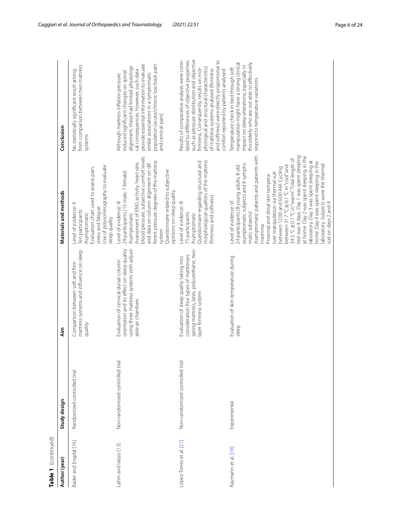| Table 1 (continued)      |                                 |                                                                                                                                                          |                                                                                                                                                                                                                                                                                                                                                                                                                                                                                                                                                                                                                                        |                                                                                                                                                                                                                                                                                                                                                                     |
|--------------------------|---------------------------------|----------------------------------------------------------------------------------------------------------------------------------------------------------|----------------------------------------------------------------------------------------------------------------------------------------------------------------------------------------------------------------------------------------------------------------------------------------------------------------------------------------------------------------------------------------------------------------------------------------------------------------------------------------------------------------------------------------------------------------------------------------------------------------------------------------|---------------------------------------------------------------------------------------------------------------------------------------------------------------------------------------------------------------------------------------------------------------------------------------------------------------------------------------------------------------------|
| Author (year)            | Study design                    | Äim                                                                                                                                                      | Materials and methods                                                                                                                                                                                                                                                                                                                                                                                                                                                                                                                                                                                                                  | Conclusion                                                                                                                                                                                                                                                                                                                                                          |
| Bader and Engdal [16]    | Randomized controlled trial     | mattress systems and influence on sleep<br>Comparison between soft and firm<br>quality                                                                   | Use of polysomnography to evaluate<br>Evaluation chart used to assess pain,<br>Level of evidence: Il<br>stress and fatigue<br>Ten participants<br>Asymptomatic<br>sleep quality                                                                                                                                                                                                                                                                                                                                                                                                                                                        | from comparison between two mattress<br>No statistically significant result arising<br>systems                                                                                                                                                                                                                                                                      |
| Lahm and laizzo [13]     | Non-randomized controlled trial | using three mattress systems with adjust-<br>orientation and its effect on sleep quality<br>Evaluation of cervical dorsal column<br>able air chambers    | blood pressure, subjective comfort levels<br>ferent pressure degrees of the mattress<br>Assessment of EMG activity, heart rate,<br>and data on column alignment on dif-<br>Questionnaire related to subjective<br>29 participants (15 male, 7 female)<br>opinions on sleep quality<br>Level of evidence: III<br>Asymptomatic<br>system                                                                                                                                                                                                                                                                                                 | provide essential information to evaluate<br>population (acute/chronic low back pain<br>alignment, these had limited physiologi-<br>cal consequences. However, such data<br>induced significant changes on spinal<br>similar associations in a symptomatic<br>Although mattress inflation pressure<br>and cervical pain)                                            |
| López-Torres et al. [21] | Non-randomized controlled trial | spring mattress, latex, polyurethane, two-<br>consideration four types of mattresses:<br>Evaluation of sleep quality taking into<br>ayer firmness system | morphological qualities of the mattress<br>Questionnaire regarding structural and<br>(firmness and softness)<br>Level of evidence: III<br>75 participants<br>Asymptomatic                                                                                                                                                                                                                                                                                                                                                                                                                                                              | such as pressure distribution and objective<br>and softness) were directly proportional to<br>Results of comparative analysis were corre-<br>ated to differences of objective properties<br>ohological and structural characteristics<br>firmness. Consequently, results on mor-<br>of mattress systems analysed (firmness<br>comfort reported by patients analysed |
| Raymann et al. [19]      | Experimental                    | Evaluation of skin temperature during<br>sleep                                                                                                           | Asymptomatic patients and patients with<br>test was 4 days. Day 1 was spent sleeping<br>at home. Day 2 was spent sleeping in the<br>34.5 °C ± 0.1 °C in "warm". Total length of<br>laboratory. Day 3 was spent sleeping at<br>home. Day 4 was spent sleeping in the<br>asymptomatic subjects and 8 sympto-<br>laboratory. Subjects wore the thermal<br>24 participants (8 young adults, 8 old<br>between 31.7 °C±0.1 °C in "cool" and<br>between 12:00 and 6:00 AM. Cycling<br>ture manipulation via thermal suit<br>Proximal and distal skin tempera-<br>Level of evidence: VI<br>suit on days 2 and 4<br>matic subjects)<br>insomnia | the elderly who are not able to effectively<br>manipulation might have a strong clinical<br>impact on sleep alterations, especially in<br>Temperature check in bed through soft<br>respond to temperature variations                                                                                                                                                |
|                          |                                 |                                                                                                                                                          |                                                                                                                                                                                                                                                                                                                                                                                                                                                                                                                                                                                                                                        |                                                                                                                                                                                                                                                                                                                                                                     |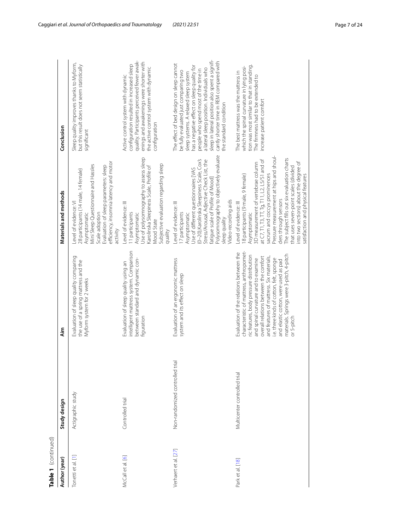| Table 1 (continued)  |                                |                                                                                                                                                                                                                                                                                                                                                                                                           |                                                                                                                                                                                                                                                                                                                                                                                                                                                   |                                                                                                                                                                                                                                                                                                                                                                                        |
|----------------------|--------------------------------|-----------------------------------------------------------------------------------------------------------------------------------------------------------------------------------------------------------------------------------------------------------------------------------------------------------------------------------------------------------------------------------------------------------|---------------------------------------------------------------------------------------------------------------------------------------------------------------------------------------------------------------------------------------------------------------------------------------------------------------------------------------------------------------------------------------------------------------------------------------------------|----------------------------------------------------------------------------------------------------------------------------------------------------------------------------------------------------------------------------------------------------------------------------------------------------------------------------------------------------------------------------------------|
| Author (year)        | Study design                   | Aim                                                                                                                                                                                                                                                                                                                                                                                                       | Materials and methods                                                                                                                                                                                                                                                                                                                                                                                                                             | Conclusion                                                                                                                                                                                                                                                                                                                                                                             |
| Tonetti et al. [1    | Actigraphic study              | Evaluation of sleep quality comparing<br>the use of a spring mattress and the<br>Myform system for 2 weeks                                                                                                                                                                                                                                                                                                | efficiency, insomnia latency and motor<br>Mini Sleep Questionnaire and Hassles<br>Evaluation of sleep parameters: sleep<br>28 participants (14 male, 14 female)<br>Level of evidence: VI<br>Scale adoption<br>Asymptomatic<br>activity                                                                                                                                                                                                            | Sleep quality improves thanks to Myform,<br>but this result does not seem statistically<br>significant                                                                                                                                                                                                                                                                                 |
| McCall et al. [6]    | Controlled trial               | intelligent mattress system. Comparison<br>between standard and dynamic con-<br>Evaluation of sleep quality using an<br>figuration                                                                                                                                                                                                                                                                        | Use of polysomnography to assess sleep<br>Subjective evaluation regarding sleep<br>Karolinska Sleepiness Scale, Profile of<br>Level of evidence: III<br>I1 participants<br>Asymptomatic<br><b>Mood State</b><br>quality                                                                                                                                                                                                                           | quality. Participants perceived fewer awak-<br>enings and awakenings were shorter with<br>configuration resulted in increased sleep<br>the active control system with dynamic<br>Active control system with dynamic<br>configuration                                                                                                                                                   |
| Verhaert et al. [27] | Non-randomized controlled tria | Evaluation of an ergonomic mattress<br>system and its effect on sleep                                                                                                                                                                                                                                                                                                                                     | Polysomnography to objectively evaluate<br>(0-20), Karolinska Sleepiness Scale, Cox's<br>Stress/Arousal, Adjective Check List, the<br>Use of different questionnaires [VAS<br>atigue scale of Profile of Mood]<br>Video-recording aids<br>Level of evidence: III<br>7 participants<br>Asymptomatic<br>sleep quality                                                                                                                               | sleep in lateral position also spent a signifi-<br>cantly shorter time in REM compared with<br>The effect of bed design on sleep cannot<br>has a negative effect on sleep quality for<br>a lateral sleep position. Individuals who<br>people who spend most of the time in<br>be fully evaluated just comparing two<br>sleep systems. A relaxed sleep system<br>the standard condition |
| Park et al. [18]     | Multicenter controlled trial   | characteristic of mattress, anthropomet-<br>Evaluation of the relations between the<br>materials. Springs were 3-pitch, 4-pitch<br>ric features, body pressure distribution<br>overall relations between the comfort<br>and features of mattress. Six materials,<br>i.e. three kinds of cotton, felt, sponge<br>and spinal curvature and to examine<br>and elastic cotton, were used as pad<br>or 5-pitch | Pressure measurement at hips and shoul-<br>The subject fills out six evaluation charts<br>at $C$ 7, T1, T3, TT, Tg, T11, L2, L5/S1 and of<br>into two sections) about the degree of<br>3D measurement of vertebrae column<br>that uses seven-point scales (divided<br>18 participants (9 male, 9 female)<br>sacrum and coccyx prominences<br>satisfaction and physical features<br>ders through sensors<br>Level of evidence: III<br>Asymptomatic | tion was most similar to that in standing.<br>which the spinal curvature in lying posi-<br>The best mattress was the mattress in<br>The firmness had to be extended to<br>increase patient comfort                                                                                                                                                                                     |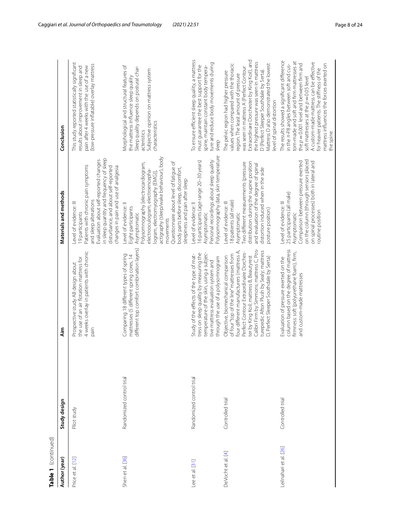| Table 1 (continued)    |                          |                                                                                                                                                                                                                                                                                                                                                         |                                                                                                                                                                                                                                                                                                                                                          |                                                                                                                                                                                                                                                                                                                                                                                      |
|------------------------|--------------------------|---------------------------------------------------------------------------------------------------------------------------------------------------------------------------------------------------------------------------------------------------------------------------------------------------------------------------------------------------------|----------------------------------------------------------------------------------------------------------------------------------------------------------------------------------------------------------------------------------------------------------------------------------------------------------------------------------------------------------|--------------------------------------------------------------------------------------------------------------------------------------------------------------------------------------------------------------------------------------------------------------------------------------------------------------------------------------------------------------------------------------|
| Author (year)          | Study design             | Aim                                                                                                                                                                                                                                                                                                                                                     | Materials and methods                                                                                                                                                                                                                                                                                                                                    | Conclusion                                                                                                                                                                                                                                                                                                                                                                           |
| Price et al. [12]      | Pilot study              | 4 weeks overlay in patients with chronic<br>the use of an air flotation mattress for<br>Prospective study AB design about<br>pain                                                                                                                                                                                                                       | n sleep quantity and frequency of sleep<br>Evaluation about self-reported changes<br>Patients with chronic pain symptoms<br>disturbance, and about self-reported<br>changes in pain and use of analgesia<br>and sleep alterations<br>Level of evidence: III<br>9 participants                                                                            | This study reported statistically significant<br>(low-pressure inflatable) overlay mattress<br>pain after 4 weeks with the use of a new<br>results about improvement in sleep and                                                                                                                                                                                                    |
| Shen et al. [36]       | Randomized control trial | different top comfort combination layers)<br>Comparing 18 different types of spring<br>mattresses (5 different spring cores, 14                                                                                                                                                                                                                         | actigraphy (sleep/wake behaviour), body<br>Questionnaire about level of fatique of<br>Polysomnography [electrocardiogram,<br>body parts before sleep, discomfort,<br>electrooculogram, electroencepha-<br>logram, electromyography (EMG)]<br>sleepiness and pain after sleep<br>Level of evidence: Il<br>Eight participants<br>Asymptomatic<br>movements | Morphological and structural features of<br>Sleep quality depends on postural char-<br>Subjective opinion on mattress system<br>the mattress influence sleep quality<br>characteristics<br>acteristics                                                                                                                                                                               |
| Lee et al. [31]        | Randomized control trial | temperature of the skin, using a subjec-<br>tress on sleep quality by measuring the<br>Study of the effects of the type of mat-<br>through the use of a polysomnogram<br>tive mattress evaluation system and                                                                                                                                            | Polysomnography data, skin temperature<br>Personal recordings about sleep quality<br>6 participants (age range 20-30 years)<br>evel of evidence: Il<br>Asymptomatic                                                                                                                                                                                      | To ensure efficient sleep quality, a mattress<br>ture and reduce body movements during<br>must guarantee the best support for the<br>spine, maintain constant body tempera-<br>sleep                                                                                                                                                                                                 |
| DeVocht et al. [4]     | Controlled trial         | Calibri Firm by Simmons; mattress C, Pos-<br>turepedic Afton Plush by Sealy; mattress<br>four different manufacturers (mattress A,<br>Perfect Contour Extraordinaire Dorches-<br>of four "top of the line" mattresses from<br>ter by King Koll; mattress B, Beautyrest<br>Objective, biomechanical comparison<br>D, Perfect Sleeper Southdale by Serta) | wo different measurements (pressure<br>distribution during the supine position<br>and evaluation of the degree of spinal<br>distortion induced when in the side<br>8 patients (all male)<br>evel of evidence: Ill<br>posture position)<br>Asymptomatic                                                                                                   | Extraordinare Dorchester by King Koil), and<br>the highest pressure was seen in mattress<br>values when compared with the thoracic<br>Mattress D also demonstrated the lowest<br>was seen in mattress A (Perfect Contour<br>D (Perfect Sleeper Southdale by Serta).<br>The pelvic region had higher pressure<br>region. The least amount of pressure<br>level of spinal distortion   |
| Leilnahari et al. [26] | Controlled trial         | column based on the degree of mattress<br>firmness: soft (polyurethane foam), firm,<br>Evaluation of pressure exerted on the<br>and custom-made mattresses                                                                                                                                                                                              | on the column (through sensors placed<br>Comparison between pressure exerted<br>on spinal processes) both in lateral and<br>25 participants (all male)<br>Level of evidence: III<br>routine position<br>Asymptomatic                                                                                                                                     | The results showed a significant difference<br>tom-made and soft and firm mattresses at<br>A custom-made mattress can be effective<br>the $p = 0.001$ level and between firm and<br>mattress influences the forces exerted on<br>in the $\pi$ -P8 angles between soft and cus-<br>for heavier patients. The stiffness of the<br>soft mattresses at the $p = 0.05$ level<br>the spine |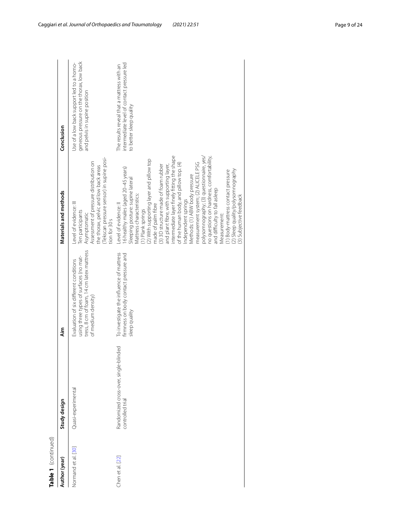| Table 1 (continued) |                                                           |                                                                                                                                                     |                                                                                                                                                                                                                                                                                                                                                                                                                                                                                                                                                                                                                                                                                                                                                 |                                                                                                                       |
|---------------------|-----------------------------------------------------------|-----------------------------------------------------------------------------------------------------------------------------------------------------|-------------------------------------------------------------------------------------------------------------------------------------------------------------------------------------------------------------------------------------------------------------------------------------------------------------------------------------------------------------------------------------------------------------------------------------------------------------------------------------------------------------------------------------------------------------------------------------------------------------------------------------------------------------------------------------------------------------------------------------------------|-----------------------------------------------------------------------------------------------------------------------|
| Author (year)       | Study design                                              | ا<br>آنه                                                                                                                                            | Materials and methods                                                                                                                                                                                                                                                                                                                                                                                                                                                                                                                                                                                                                                                                                                                           | Conclusion                                                                                                            |
| Normand et al. [30] | Quasi-experimental                                        | tress, 8 cm of foam, 14 cm latex mattress<br>using three types of surfaces (no mat-<br>Evaluation of six different conditions<br>of medium density) | (Tekscan pressure sensor) in supine posi-<br>Assessment of pressure distribution on<br>the thorax, pelvic and low back areas<br>Level of evidence: III<br>Ten participants<br>Asymptomatic<br>tion for 30 s                                                                                                                                                                                                                                                                                                                                                                                                                                                                                                                                     | geneous pressure on the thorax, low back<br>Use of a low back support led to a homo-<br>and pelvis in supine position |
| Chen et al. [22]    | Randomized cross-over, single-blinded<br>controlled trial | To investigate the influence of mattress<br>firmness on body contact pressure and<br>sleep quality                                                  | intermediate layer finely fitting the shape<br>polysomnography; (3) questionnaire, yes/<br>no questions on hardness, comfortability,<br>(2) With supporting layer and pillow top<br>measurement system; (2) ALICELE PSG<br>of the human body, and pillow top. (4)<br>(3) 3D structure made of foam rubber<br>and plant fibre, with supporting layer,<br>6 healthy males (aged 20-45 years)<br>(2) Sleep quality/polysomnography<br>(1) Body-mattress contact pressure<br>Methods: (1) ABW body pressure<br>Sleeping posture: supine lateral<br>and difficulty to fall asleep<br>Mattress characteristics:<br>(3) Subjective feedback<br>Independent springs<br>Level of evidence: Il<br>made of palm fibre<br>(1) Plank springs<br>Measurement: | intermediate level of contact pressure led<br>The results reveal that a mattress with an<br>to better sleep quality   |

Caggiari *et al. Journal of Orthopaedics and Traumatology (2021) 22:51* Page 9 of 24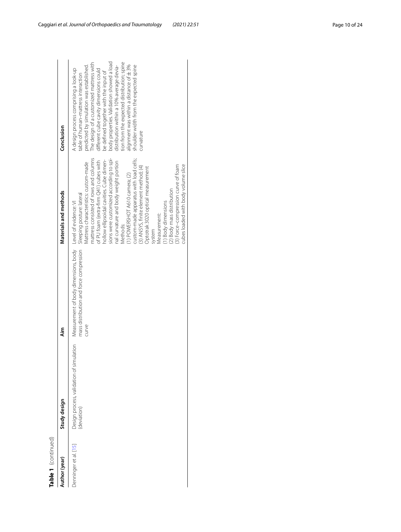| Table 1 (continued)   |                                                         |                                                                                                                |                                                                                                                                                                                                                                                                                                                                                                                                                                                                                                                                                                                                                           |                                                                                                                                                                                                                                                                                                                                                                                                                                                                                                 |
|-----------------------|---------------------------------------------------------|----------------------------------------------------------------------------------------------------------------|---------------------------------------------------------------------------------------------------------------------------------------------------------------------------------------------------------------------------------------------------------------------------------------------------------------------------------------------------------------------------------------------------------------------------------------------------------------------------------------------------------------------------------------------------------------------------------------------------------------------------|-------------------------------------------------------------------------------------------------------------------------------------------------------------------------------------------------------------------------------------------------------------------------------------------------------------------------------------------------------------------------------------------------------------------------------------------------------------------------------------------------|
| Author (year)         | Study design                                            | Aim                                                                                                            | Materials and methods                                                                                                                                                                                                                                                                                                                                                                                                                                                                                                                                                                                                     | Conclusion                                                                                                                                                                                                                                                                                                                                                                                                                                                                                      |
| Denninger et al. [15] | Design process, validation of simulation<br>(deviation) | Measurement of body dimensions, body Level of evidence: VI<br>mass distribution and force compression<br>curve | mattress consisted of rows and columns<br>sions were customized according to spi-<br>custom-made apparatus with load cells;<br>hollow ellipsoidal cavities. Cube dimen-<br>of PU foam (extra-firm Q41) cubes with<br>nal curvature and body weight portion<br>Mattress characteristics: custom-made<br>cubes loaded with body volume slice<br>(3) Force-compression curve of foam<br>(3) ANSYS, finite element method; (4)<br>Optotrak 3020 optical measurement<br>(1) POWERSHOT A610 camera; (2)<br>(2) Body mass distribution<br>Sleeping posture: lateral<br>(1) Body dimensions<br>Measurement:<br>Methods:<br>system | body properties. Validation showed a load<br>tion from the expected distribution; spine<br>The design of a customized mattress with<br>alignment was within a distance of ±3%<br>shoulder width from the expected spine<br>predicted by simulation was established.<br>distribution within a 10% average devia-<br>A design process comprising a look-up<br>different cube cavity dimensions could<br>be defined together with the input of<br>table of human-mattress interaction<br>curvature |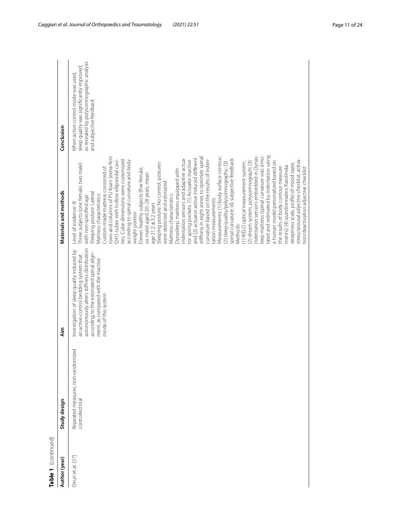| Study design<br>Author (year)        |                                   | Aim                                                                                                                                                                                                                                        | Materials and methods                                                                                                                                                                                                                                                                                                                                                                                                                                                                                                                                                                                                                                                                                                                                                                                                                                                                                                                                                                                                                                                                                                                                                                                                                                                                                                                                                                                                                                                                                                         | Conclusion                                                                                                                                            |
|--------------------------------------|-----------------------------------|--------------------------------------------------------------------------------------------------------------------------------------------------------------------------------------------------------------------------------------------|-------------------------------------------------------------------------------------------------------------------------------------------------------------------------------------------------------------------------------------------------------------------------------------------------------------------------------------------------------------------------------------------------------------------------------------------------------------------------------------------------------------------------------------------------------------------------------------------------------------------------------------------------------------------------------------------------------------------------------------------------------------------------------------------------------------------------------------------------------------------------------------------------------------------------------------------------------------------------------------------------------------------------------------------------------------------------------------------------------------------------------------------------------------------------------------------------------------------------------------------------------------------------------------------------------------------------------------------------------------------------------------------------------------------------------------------------------------------------------------------------------------------------------|-------------------------------------------------------------------------------------------------------------------------------------------------------|
| controlled trial<br>Deun et al. [37] | Repeated measures, non-randomized | autonomously alters stiffness distribution<br>Investigation of sleep quality induced by<br>according to the estimated spinal align-<br>an active-control bedding system that<br>ment, as compared with the inactive<br>mode of this system | eep mattress (spinal curvature was simu-<br>ated and estimated by indentation using<br>indentation sensors embedded in Dynas-<br>rows and columns of PU foam (extra-firm<br>stiffness in eight zones to optimize spinal<br>Measurements: (1) body surface contour;<br>and (2) actuator active induced different<br>indentation sensors and adaptive actua-<br>spinal curvature; (4) subjective feedback<br>curvature based on the results of inden-<br>stress/arousal adjective checklist, activa-<br>241) cubes with hollow ellipsoidal cavi-<br>ties. Cube dimensions were customized<br>according to spinal curvature and body<br>tor spring pockets. (1) Actuator inactive<br>a human model personalized based on<br>(2) dream system, polysomnograph; (3)<br>(1) IKELO optical measurement system;<br>(2) sleep quality/polysomnography; (3)<br>Sleeping posture: No control, postures<br>[hree subjects (one female, two male)<br>sleepiness scale, profile of mood state,<br>ments); (4) questionnaires: Karolinska<br>the results of body contour measure-<br>Custom-made mattress consisted of<br>tion/deactivation adjective checklist<br>Eleven healthy subjects (five female,<br>Dynasleep, mattress equipped with<br>six male) aged 20-28 years, mean<br>were detected and estimated<br>Sleeping posture: Lateral<br>Vlattress characteristics:<br>Mattress characteristics:<br>with non-specified age<br>tation measurements<br>Level of evidence: III<br>$age21.2 \pm 3.2$ years<br>weight portion<br>Methods: | as revealed by polysomnographic analysis<br>sleep quality was significantly improved<br>When active control mode was used,<br>and subjective feedback |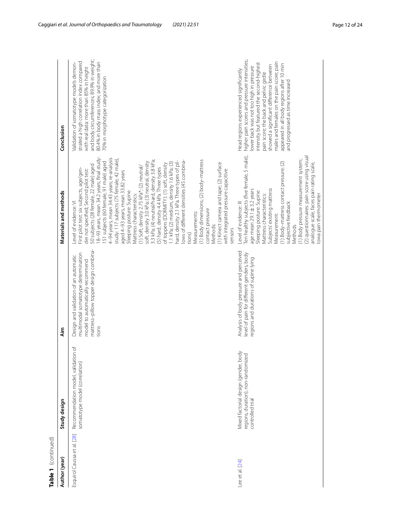| Table 1 (continued)         |                                                                                                |                                                                                                                                                                     |                                                                                                                                                                                                                                                                                                                                                                                                                                                                                                                                                                                                                                                                                                                                                                                                                                                                                                                                                                                                             |                                                                                                                                                                                                                                                                                                                                                                                                  |
|-----------------------------|------------------------------------------------------------------------------------------------|---------------------------------------------------------------------------------------------------------------------------------------------------------------------|-------------------------------------------------------------------------------------------------------------------------------------------------------------------------------------------------------------------------------------------------------------------------------------------------------------------------------------------------------------------------------------------------------------------------------------------------------------------------------------------------------------------------------------------------------------------------------------------------------------------------------------------------------------------------------------------------------------------------------------------------------------------------------------------------------------------------------------------------------------------------------------------------------------------------------------------------------------------------------------------------------------|--------------------------------------------------------------------------------------------------------------------------------------------------------------------------------------------------------------------------------------------------------------------------------------------------------------------------------------------------------------------------------------------------|
| Author (year)               | Study design                                                                                   | ۸im                                                                                                                                                                 | Materials and methods                                                                                                                                                                                                                                                                                                                                                                                                                                                                                                                                                                                                                                                                                                                                                                                                                                                                                                                                                                                       | Conclusion                                                                                                                                                                                                                                                                                                                                                                                       |
| Esquirol Caussa et al. [28] | Recommendation model, validation of<br>somatotype model (correlation)                          | mattress-pillow topper design combina-<br>multimodal somatotype determination<br>Design and validation of an automatic<br>model to automatically recommend<br>tions | 4-94 years, mean 34.43 years; re-analysis<br>18-93 years, mean 34.2 years; final study:<br>study: 117 subjects (75 female, 42 male)<br>3.3 kPa; (4) neutral/hard, density 3.8 kPa;<br>(1) Body dimensions; (2) body-mattress<br>ows of different densities (45 combina-<br>hard, density 2.1 kPa. Three types of pil-<br>151 subjects (60 female, 91 male) aged<br>soft, density 3.0 kPa; (3) neutral, density<br>1.1 kPa; (2) medium, density 1.6 kPa; (3)<br>(1) Kinect camera and tape; (2) surface<br>of toppers (DORMITY): (1) soft, density<br>50 subjects (28 female, 22 male) aged<br>(1) Soft, density 2.75 kPa*; (2) neutral/<br>(5) hard, density 4.4 kPa. Three types<br>First pilot test: six subjects, age/gen-<br>with integrated pressure capacitive<br>der not specified; Second pilot test:<br>aged 4-93 years, mean 33.82 years<br>Sleeping posture: Supine<br>Mattress characteristics:<br>Level of evidence: VI<br>contact pressure<br>Vleasurements:<br>Methods:<br>sensors<br>tions) | and body circumferences; 89.9% in weight;<br>strated a high correlation index compared<br>80.4% in body mass index; and more than<br>Validation of somatotype models demon-<br>with real data: more than 85% in height<br>70% in morphotype categorization                                                                                                                                       |
| Lee et al. [24]             | Mixed factorial design (gender, body<br>regions, duration), non-randomized<br>controlled trial | Analysis of body pressure and perceived<br>level of pain for different genders, body<br>regions and durations of supine lying                                       | Ten healthy subjects (five female, 5 male),<br>(2) questionnaires: pain score using visual<br>(1) Body pressure measurement system;<br>(1) Body-mattress contact pressure; (2)<br>analogue scale, faces pain rating scale,<br>Subjects' existing mattress<br>age mean 29.1 ± 3.2 years<br>Sleeping posture: Supine<br>Mattress characteristics:<br>lowa pain thermometer<br>Level of evidence: III<br>subjective feedback<br>Vleasurement:<br>Methods                                                                                                                                                                                                                                                                                                                                                                                                                                                                                                                                                       | higher pain scores and pressure intensities;<br>males and females on the pain score; pain<br>intensity but featured the second-highest<br>appeared in all body regions after 10 min<br>showed a significant difference between<br>ower back was not too high in pressure<br>Head regions experienced significantly<br>bain score; the back and pelvic girdle<br>and progressed as time increased |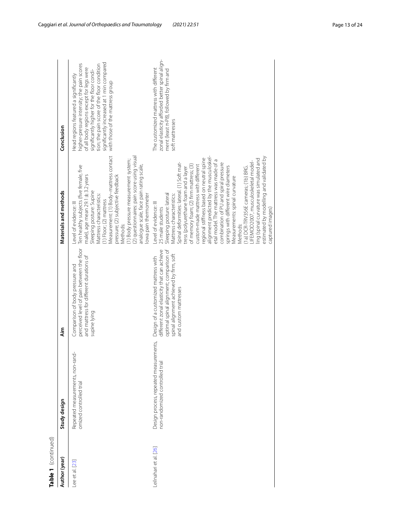| Table 1 (continued)   |                                                                           |                                                                                                                                                                                                    |                                                                                                                                                                                                                                                                                                                                                                                                                                                                                                                                                                                                                                                                                                                                        |                                                                                                                                                                                                                                                                                                             |
|-----------------------|---------------------------------------------------------------------------|----------------------------------------------------------------------------------------------------------------------------------------------------------------------------------------------------|----------------------------------------------------------------------------------------------------------------------------------------------------------------------------------------------------------------------------------------------------------------------------------------------------------------------------------------------------------------------------------------------------------------------------------------------------------------------------------------------------------------------------------------------------------------------------------------------------------------------------------------------------------------------------------------------------------------------------------------|-------------------------------------------------------------------------------------------------------------------------------------------------------------------------------------------------------------------------------------------------------------------------------------------------------------|
| Author (year)         | Study design                                                              | Äim                                                                                                                                                                                                | Materials and methods                                                                                                                                                                                                                                                                                                                                                                                                                                                                                                                                                                                                                                                                                                                  | Conclusion                                                                                                                                                                                                                                                                                                  |
| Lee et al. [23]       | ģ<br>Repeated measurements, non-ran<br>omized controlled trial            | perceived level of pain between the floor<br>and mattress for different durations of<br>Comparison of body pressure and<br>supine lying                                                            | Measurement: (1) Body-mattress contact<br>(2) questionnaires: pain score using visual<br>1) Body pressure measurement system;<br>analogue scale, face pain rating scale,<br>Ten healthy subjects (five female, five<br>pressure; (2) subjective feedback<br>male), age mean 29.1 ±3.2 years<br>Sleeping posture: Supine<br>Mattress characteristics:<br>lowa pain thermometer<br>(1) Floor; (2) mattress<br>Level of evidence: III<br>Methods:                                                                                                                                                                                                                                                                                         | significantly increased at 1 min compared<br>nigher-pressure intensity; the pain scores<br>ion; the pain score of the floor condition<br>of all body regions except for legs were<br>significantly higher for the floor condi-<br>Head regions featured a significantly<br>with those of the mattress group |
| eilnahari et al. [26] | Design process, repeated measurements,<br>non-randomized controlled trial | different zonal elasticity that can achieve<br>optimal spinal alignment; comparison of<br>spinal alignment achieved by firm, soft<br>Design of a customized mattress with<br>and custom mattresses | alignment predicted by the musculoskel-<br>estimated by modelling and validated by<br>ling (spinal curvature was simulated and<br>regional stiffness based on neutral spine<br>etal model. The mattress was made of a<br>-IFEMOD2007, musculoskeletal model-<br>Spinal deformities: lateral. (1) Soft mat-<br>combination of PU and spiral pressure<br>of memory foam; (2) firm mattress; (3)<br>custom-made mattress with different<br>springs with different wire diameters<br>[1a) DCR-TRV356E cameras; (1b) BRG.<br>tress (polyurethane foam and a layer<br>Measurements: spinal curvature<br>Sleeping posture: lateral<br>Mattress characteristics:<br>Level of evidence: III<br>25 male students<br>captured images)<br>Methods: | zonal elasticity afforded better spinal align-<br>The customized mattress with different<br>ment (least $\pi$ -P8), followed by firm and<br>soft mattresses                                                                                                                                                 |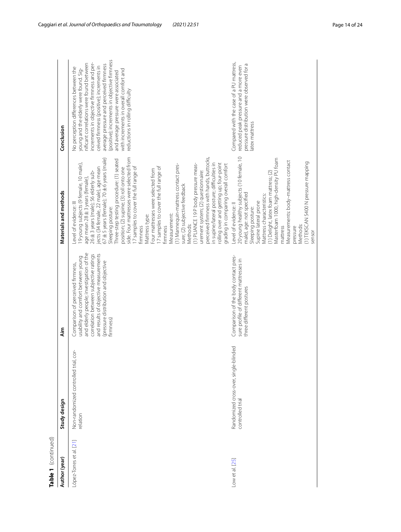| Table 1 (continued)      |                                                               |                                                                                                                                                                                                                                                              |                                                                                                                                                                                                                                                                                                                                                                                                                                                                                                                                                                                                                                                                                                                                                                                                                                                                                  |                                                                                                                                                                                                                                                                                                                                                                                                                                        |
|--------------------------|---------------------------------------------------------------|--------------------------------------------------------------------------------------------------------------------------------------------------------------------------------------------------------------------------------------------------------------|----------------------------------------------------------------------------------------------------------------------------------------------------------------------------------------------------------------------------------------------------------------------------------------------------------------------------------------------------------------------------------------------------------------------------------------------------------------------------------------------------------------------------------------------------------------------------------------------------------------------------------------------------------------------------------------------------------------------------------------------------------------------------------------------------------------------------------------------------------------------------------|----------------------------------------------------------------------------------------------------------------------------------------------------------------------------------------------------------------------------------------------------------------------------------------------------------------------------------------------------------------------------------------------------------------------------------------|
| Author (year)            | Study design                                                  | <b>Aim</b>                                                                                                                                                                                                                                                   | Materials and methods                                                                                                                                                                                                                                                                                                                                                                                                                                                                                                                                                                                                                                                                                                                                                                                                                                                            | Conclusion                                                                                                                                                                                                                                                                                                                                                                                                                             |
| López-Torres et al. [21] | Non-randomized controlled trial, cor-<br>relation             | and elderly people; investigation of the<br>correlation between subjective ratings<br>and results of objective measurements<br>usability and comfort between young<br>(pressure distribution and objective<br>Comparison of perceived firmness,<br>firmness) | side. Four mattresses were selected from<br>perceived firmness with hands, buttocks,<br>67 ± 5 years (female); 70 ± 6 years (male)<br>Three-step testing procedure: (1) seated<br>in supine/lateral posture; difficulties in<br>olling over and getting up; four-point<br>19 young subjects (9 female, 10 male),<br>(1) Mannequin-mattress contact pres-<br>(1) PLIANCE 19 P body pressure meas-<br>jects (34 female, 22 male), age mean<br>position; (2) supine; (3) roll onto one<br>I7 samples to cover the full range of<br>I7 samples to cover the full range of<br>Four mattresses were selected from<br>urement system; (2) questionnaire:<br>26±3 years (male); 56 elderly sub-<br>age mean 28 ± 3 years (female),<br>sure; (2) subjective feedback<br>Level of evidence: III<br>Sleeping posture:<br>Measurement:<br>Mattress type:<br>Methods:<br>firmness<br>firmness | (positive); increments in objective firmness<br>increments in objective firmness and per-<br>nificant correlations were found between<br>average pressure and perceived firmness<br>ceived firmness (positive); increments in<br>No perception differences between the<br>young and the elderly were found. Sig-<br>with increments in overall comfort and<br>and average pressure were associated<br>reductions in rolling difficulty |
| Low et al. [25]          | ded<br>Randomized cross-over, single-blin<br>controlled trial | Comparison of the body contact pres-<br>sure profile of different mattresses in<br>three different postures                                                                                                                                                  | 20 young healthy subjects (10 female, 10<br>Masterfoam 1000, high-density PU foam<br>Measurements: body-mattress contact<br>(1) TEKSCAN 5400 N pressure mapping<br>grading in comparing overall comfort<br>(1) Delight, latex foam mattress; (2)<br>male), age: not specified<br>Mattress characteristics:<br>Supine lateral prone<br>Level of evidence: Il<br>Sleeping posture:<br>Methods:<br>mattress<br>pressure<br>sensor                                                                                                                                                                                                                                                                                                                                                                                                                                                   | Compared with the case of a PU mattress,<br>pressure distribution were observed for a<br>reduced peak pressure and a more even<br>atex mattress                                                                                                                                                                                                                                                                                        |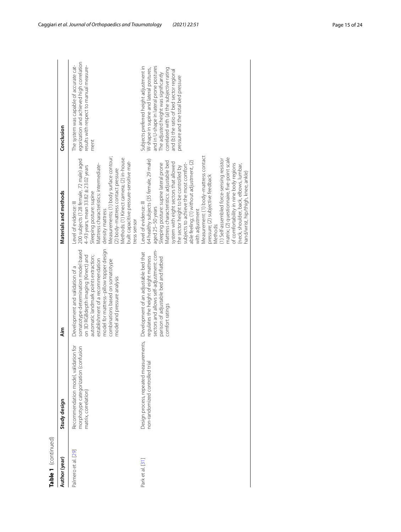| Table 1 (continued) |                                                                                                           |                                                                                                                                                                                                                                                                                                            |                                                                                                                                                                                                                                                                                                                                                                                                                                                                                                                                                                                                                                                                                            |                                                                                                                                                                                                                                                                                                         |
|---------------------|-----------------------------------------------------------------------------------------------------------|------------------------------------------------------------------------------------------------------------------------------------------------------------------------------------------------------------------------------------------------------------------------------------------------------------|--------------------------------------------------------------------------------------------------------------------------------------------------------------------------------------------------------------------------------------------------------------------------------------------------------------------------------------------------------------------------------------------------------------------------------------------------------------------------------------------------------------------------------------------------------------------------------------------------------------------------------------------------------------------------------------------|---------------------------------------------------------------------------------------------------------------------------------------------------------------------------------------------------------------------------------------------------------------------------------------------------------|
| Author (year)       | Study design                                                                                              | ۸im                                                                                                                                                                                                                                                                                                        | Materials and methods                                                                                                                                                                                                                                                                                                                                                                                                                                                                                                                                                                                                                                                                      | Conclusion                                                                                                                                                                                                                                                                                              |
| Palmero et al. [29] | ion for<br>morphotype categorization (confusion<br>Recommendation model, validati<br>matrix, correlation) | model for mattress-pillow topper design<br>somatotype determination model based<br>on 3D RGBdepth imaging (Kinect) and<br>automatic landmark points extraction;<br>establishment of a recommendation<br>combinations based on somatotype<br>Development and validation of a<br>model and pressure analysis | Measurements: (1) body surface contour;<br>Methods: (1) Kinect camera; (2) in-house<br>200 subjects (128 female, 72 male) aged<br>built capacitive pressure-sensitive mat-<br>Mattress characteristics: intermediate-<br>4-93 years, mean 33.82 ± 23.02 years<br>(2) body-mattress contact pressure<br>Sleeping posture: supine<br>Level of evidence: III<br>density mattress<br>tress sensor                                                                                                                                                                                                                                                                                              | egorization and achieved high correlation<br>The system was capable of accurate cat-<br>results with respect to manual measure-<br>ment                                                                                                                                                                 |
| Park et al. [31]    | Design process, repeated measurements,<br>non-randomized controlled trial                                 | sectors and allows self-adjustment: com-<br>Development of an adjustable bed that<br>regulates the height of eight mattress<br>parison of adjustable bed and flatbed<br>comfort ratings                                                                                                                    | Measurement: (1) body-mattress contact<br>matrix; (2) questionnaire, five-point scale<br>(1) Self-assembled force-sensing resistor<br>64 healthy subjects (35 female, 29 male)<br>Mattress characteristics: adjustable bed<br>able feeling; (1) without adjustment, (2)<br>system with eight sectors that allowed<br>subjects to achieve the most comfort-<br>Sleeping posture: supine lateral prone<br>of comfortability in nine body regions<br>(neck, shoulder, back, elbows, lumbar,<br>the sector height to be controlled by<br>hand/wrist, hip/thigh, knee, ankle)<br>pressure; (2) subjective feedback<br>Level of evidence: III<br>aged 25-50 years<br>with adjustment<br>Methods: | Subjects preferred height adjustment in<br>and in U-shape in lateral prone postures<br>correlated with (a) the subjective rating<br>W-shape in supine and lateral postures,<br>and (b) the ratio of bed sector regional<br>The adjusted height was significantly<br>pressure and the total bed pressure |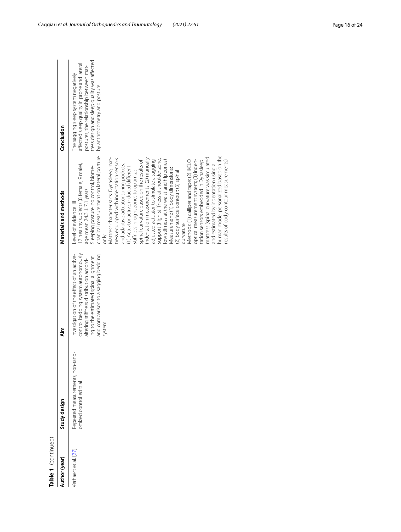| Table 1 (continued)  |                                                             |                                                                                                                                                                                                                       |                                                                                                                                                                                                                                                                                                                                                                                                                                                                                                                                                                                                                                                                                                                                                                                                                                                                                                                                                                                                                                       |                                                                                                                                                                                                              |
|----------------------|-------------------------------------------------------------|-----------------------------------------------------------------------------------------------------------------------------------------------------------------------------------------------------------------------|---------------------------------------------------------------------------------------------------------------------------------------------------------------------------------------------------------------------------------------------------------------------------------------------------------------------------------------------------------------------------------------------------------------------------------------------------------------------------------------------------------------------------------------------------------------------------------------------------------------------------------------------------------------------------------------------------------------------------------------------------------------------------------------------------------------------------------------------------------------------------------------------------------------------------------------------------------------------------------------------------------------------------------------|--------------------------------------------------------------------------------------------------------------------------------------------------------------------------------------------------------------|
| Author (year)        | Study design                                                | Aim                                                                                                                                                                                                                   | Materials and methods                                                                                                                                                                                                                                                                                                                                                                                                                                                                                                                                                                                                                                                                                                                                                                                                                                                                                                                                                                                                                 | Conclusion                                                                                                                                                                                                   |
| Verhaert et al. [27] | Repeated measurements, non-rand-<br>omized controlled trial | control bedding system autonomously<br>Investigation of the effect of an active-<br>and comparison to a sagging bedding<br>ing to the estimated spinal alignment<br>altering stiffness distribution accord-<br>system | chanical measurement on lateral posture<br>human model personalized based on the<br>Mattress characteristics: Dynasleep, mat-<br>mattress (spinal curvature was simulated<br>tress equipped with indentation sensors<br>indentation measurements; (2) manually<br>support (high stiffness at shoulder zone,<br>adjusted actuator to simulate a sagging<br>low stiffness at the waist and hip zones)<br>Methods: (1) calliper and tape; (2) IKELO<br>optical measurement system; (3) inden-<br>spinal curvature based on the results of<br>results of body contour measurements)<br>tation sensors embedded in Dynasleep<br>7 healthy subjects (8 female, 9 male),<br>and adaptive actuator spring pockets.<br>and estimated by indentation using a<br>Sleeping posture: no control, biome-<br>(1) Actuator active, induced different<br>Measurement: (1) body dimensions;<br>stiffness in eight zones to optimize<br>(2) body surface contour; (3) spinal<br>age mean 24.3 ± 7.1 years<br>Level of evidence: III<br>curvature<br>only | tress design and sleep quality was affected<br>affected sleep quality in prone and lateral<br>postures; the relationship between mat-<br>The sagging sleep system negatively<br>by anthropometry and posture |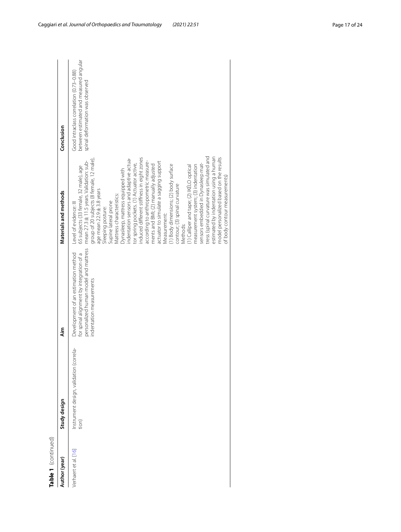| <b>Table 1</b> (continued) |                                                  |                                                                                                                                                      |                                                                                                                                                                                                                                                                                                                                                                                                                                                                                                                                                                                                                                                                                                                                                                                                                                                                                                                                                                       |                                                                                                                      |
|----------------------------|--------------------------------------------------|------------------------------------------------------------------------------------------------------------------------------------------------------|-----------------------------------------------------------------------------------------------------------------------------------------------------------------------------------------------------------------------------------------------------------------------------------------------------------------------------------------------------------------------------------------------------------------------------------------------------------------------------------------------------------------------------------------------------------------------------------------------------------------------------------------------------------------------------------------------------------------------------------------------------------------------------------------------------------------------------------------------------------------------------------------------------------------------------------------------------------------------|----------------------------------------------------------------------------------------------------------------------|
| Author (year)              | Study design                                     | Aim                                                                                                                                                  | Materials and methods                                                                                                                                                                                                                                                                                                                                                                                                                                                                                                                                                                                                                                                                                                                                                                                                                                                                                                                                                 | Conclusion                                                                                                           |
| /erhaert et al. [16]       | Instrument design, validation (correla-<br>tion) | personalized human model and mattress<br>Development of an estimation method<br>for spinal alignment by integration of a<br>indentation measurements | tress (spinal curvature was simulated and<br>estimated by indentation using a human<br>model personalized based on the results<br>induced different stiffness in eight zones<br>group of 20 subjects (8 female, 12 male),<br>indentation sensors and adaptive actua-<br>mean 27.3 ± 11.5 years. Validation: sub-<br>according to anthropometric measure-<br>actuator to simulate a sagging support<br>ments and BMI; (2) manually adjusted<br>tor spring pockets. (1) Actuator active,<br>(1) Body dimensions; (2) body surface<br>sensors embedded in Dynasleep mat-<br>(1) Calliper and tape; (2) IKELO optical<br>measurement system; (3) indentation<br>65 subjects (33 female, 32 male), age<br>Dynasleep, mattress equipped with<br>of body contour measurements)<br>contour; (3) spinal curvature<br>age mean 22.9 ± 3.8 years<br>Mattress characteristics:<br>Supine lateral prone<br>Level of evidence: III<br>Sleeping posture:<br>Measurement:<br>Methods: | between estimated and measured angular<br>Good intraclass correlation (0.73-0.88)<br>spinal deformation was observed |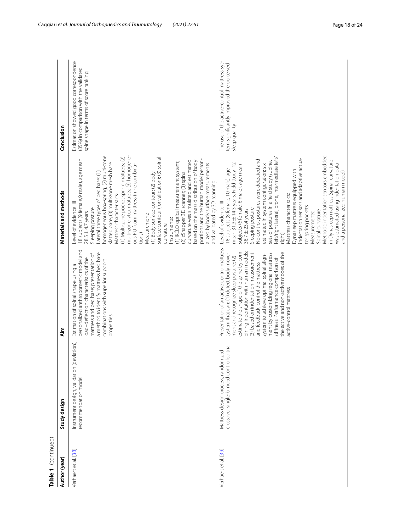| Table 1 (continued)  |                                                                                  |                                                                                                                                                                                                                                                                                                                                                                                                                                                                                                  |                                                                                                                                                                                                                                                                                                                                                                                                                                                                                                                                                                                                                                                                                                                                                                                                                                         |                                                                                                                          |
|----------------------|----------------------------------------------------------------------------------|--------------------------------------------------------------------------------------------------------------------------------------------------------------------------------------------------------------------------------------------------------------------------------------------------------------------------------------------------------------------------------------------------------------------------------------------------------------------------------------------------|-----------------------------------------------------------------------------------------------------------------------------------------------------------------------------------------------------------------------------------------------------------------------------------------------------------------------------------------------------------------------------------------------------------------------------------------------------------------------------------------------------------------------------------------------------------------------------------------------------------------------------------------------------------------------------------------------------------------------------------------------------------------------------------------------------------------------------------------|--------------------------------------------------------------------------------------------------------------------------|
| Author (year)        | Study design                                                                     | Aim                                                                                                                                                                                                                                                                                                                                                                                                                                                                                              | Materials and methods                                                                                                                                                                                                                                                                                                                                                                                                                                                                                                                                                                                                                                                                                                                                                                                                                   | Conclusion                                                                                                               |
| Verhaert et al. [38] | Instrument design, validation (deviation),<br>recommendation model               | personalized anthropometric model and<br>a method to identify mattress bed base<br>mattress and bed base; presentation of<br>load-deflection characteristics of the<br>combinations with superior support<br>Estimation of spinal shape using a<br>properties                                                                                                                                                                                                                                    | multi-zone latex mattress; (3) homogene-<br>homogeneous box-spring; (2) multi-zone<br>(1) Multi-zone pocket spring mattress; (2)<br>surface contour (for validation); (3) spinal<br>18 subjects (9 female,9 male), age mean<br>portions and the human model person-<br>curvature was simulated and estimated<br>based on the mass distribution of body<br>(1) IKÉLO optical measurement system;<br>slatted base; (3) multi-zone mesh base<br>alized by body surface measurements<br>ous PU foam mattress (nine combina-<br>(2) zSnapper 3D scanner; (3) spinal<br>Lateral three types of bed base: (1)<br>(1) Body surface contour; (2) body<br>and validated by 3D scanning<br>Mattress characteristics:<br>Level of evidence: III<br>Sleeping posture:<br>$28.5 \pm 4.7$ years<br>Measurement:<br>Instruments:<br>curvature<br>tions) | Estimation showed good correspondence<br>(85%) in comparison with the validated<br>spine shape in terms of score ranking |
| Verhaert et al. [39] | crossover single-blinded controlled trial<br>Mattress design process, randomized | Presentation of an active control mattress<br>estimate the shape of the spine by com-<br>bining indentation with human models;<br>(3) based on indentation measurement<br>the active and non-active modes of the<br>ment by customizing regional mattress<br>system that can: (1) detect body move-<br>system to achieve optimal spinal align-<br>ment and recognize sleep posture; (2)<br>stiffness. Performance comparison of<br>and feedback, control the mattress<br>active-control mattress | Methods: indentation sensors embedded<br>left/right lateral, prone, intermediate left/<br>indentation sensors and adaptive actua-<br>No control, postures were detected and<br>in Dynasleep mattress (spinal curvature<br>sets of postures in a field study (supine,<br>mean 31.3 ± 14.3 years. Field study: 12<br>estimated in system configuration; six<br>was estimated using indentation data<br>subjects (6 female, 6 male), age mean<br>18 subjects (8 female, 10 male), age<br>Dynasleep mattress equipped with<br>and a personalized human model)<br>Mattress characteristics:<br>Level of evidence: III<br>tor spring pockets<br>Sleeping posture:<br>38.7 $\pm$ 23.4 years<br>Spinal curvature<br>Measurements:<br>right)                                                                                                     | The use of the active-control mattress sys-<br>tem significantly improved the perceived<br>sleep quality                 |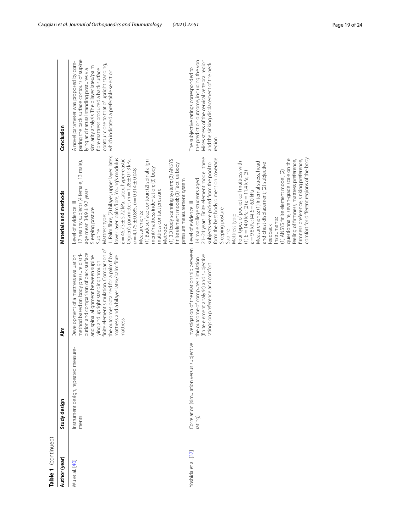| Table 1 (continued) |                                                      |                                                                                                                                                                                                                                                                                                                                                  |                                                                                                                                                                                                                                                                                                                                                                                                                                                                                                                                                                                                                                                                                                                       |                                                                                                                                                                                                                                                                                                                 |
|---------------------|------------------------------------------------------|--------------------------------------------------------------------------------------------------------------------------------------------------------------------------------------------------------------------------------------------------------------------------------------------------------------------------------------------------|-----------------------------------------------------------------------------------------------------------------------------------------------------------------------------------------------------------------------------------------------------------------------------------------------------------------------------------------------------------------------------------------------------------------------------------------------------------------------------------------------------------------------------------------------------------------------------------------------------------------------------------------------------------------------------------------------------------------------|-----------------------------------------------------------------------------------------------------------------------------------------------------------------------------------------------------------------------------------------------------------------------------------------------------------------|
| Author (year)       | Study design                                         | im<br>∡                                                                                                                                                                                                                                                                                                                                          | Materials and methods                                                                                                                                                                                                                                                                                                                                                                                                                                                                                                                                                                                                                                                                                                 | Conclusion                                                                                                                                                                                                                                                                                                      |
| Wu et al. [40]      | Instrument design, repeated measure-<br>ments        | finite element simulation. Comparison of<br>the outcomes obtained for a palm fibre<br>bution and comparison of back surface<br>method based on body pressure distri-<br>mattress and a bilayer latex/palm fibre<br>Development of a mattress evaluation<br>and spinal alignment between supine<br>lying and upright standing through<br>mattress | I. Palm fibre; (2) bilayer, upper layer: latex,<br>lower layer: palm fibre, Young's modulus<br>(1) Back surface contour; (2) spinal align-<br>E = 46.73 ± 5.72 kPa. Latex, hyper-elastic<br>Ogden's parameter, m = 1.28 ± 0.13 kPa,<br>(1) 3D body scanning system; (2) ANSYS<br>I7 healthy subjects (4 female, 13 male),<br>finite element model; (3) Tactilus body<br>ment/mattress indentation; (3) body-<br>$a = 4.175 \pm 0.885, b = 0.314 \pm 0.048$<br>pressure measurement system<br>mattress contact pressure<br>age mean 34.9 ± 9.7 years<br>Level of evidence: III<br>Sleeping posture:<br>Measurements:<br>Mattress type:<br>Methods:<br>Supine                                                           | paring the back surface contours of supine<br>A novel parameter was proposed by com-<br>contour close to that of upright standing,<br>similarity analysis. The bilayer latex/palm<br>fibre mattress produced a back surface<br>ying and natural standing postures via<br>which indicated a preferable selection |
| Yoshida et al. [32] | Correlation (simulation versus subjective<br>rating) | Investigation of the relationship between<br>(finite element analysis) and subjective<br>the outcome of computer simulation<br>ratings on preference and comfort                                                                                                                                                                                 | 21-24 years. Finite element model: three<br>form the best body dimension coverage<br>comfort for different regions of the body<br>questionnaire, seven-grade scale on the<br>feeling of firmness, mattress preference,<br>firmness preference, sinking preference,<br>Four types of pocket coil mattress with<br>Measurements: (1) internal stress, head<br>and chest displacement; (2) subjective<br>subjects were picked from the pool to<br>(1) ANSYS finite element model; (2)<br>$(1)$ $E = 14.0$ kPa; (2) $E = 11.4$ kPa; (3)<br>4 male college students aged<br>$E = 9.6$ kPa; (4) $E = 6.0$ kPa<br>Level of evidence: III<br>Sleeping posture:<br>Mattress type:<br>Instruments:<br><b>Feedback</b><br>Supine | Mises stress of the cervical vertebral region<br>the prediction outcome, including the von<br>and the sinking displacement of the neck<br>The subjective ratings corresponded to<br>region                                                                                                                      |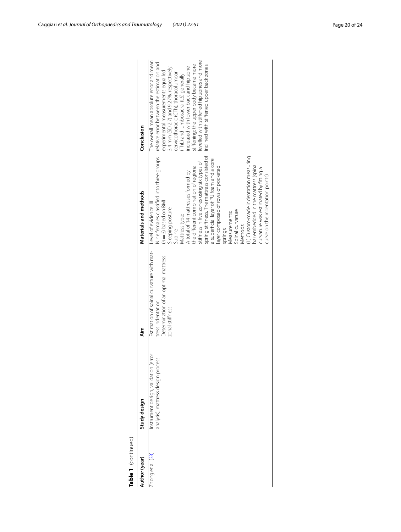| Table 1 (continued) |                                                                            |                                                                                                                          |                                                                                                                                                                                                                                                                                                                                                                                                                                                                                                                                                                                                                                       |                                                                                                                                                                                                                                                                                                                                                                                                                                      |
|---------------------|----------------------------------------------------------------------------|--------------------------------------------------------------------------------------------------------------------------|---------------------------------------------------------------------------------------------------------------------------------------------------------------------------------------------------------------------------------------------------------------------------------------------------------------------------------------------------------------------------------------------------------------------------------------------------------------------------------------------------------------------------------------------------------------------------------------------------------------------------------------|--------------------------------------------------------------------------------------------------------------------------------------------------------------------------------------------------------------------------------------------------------------------------------------------------------------------------------------------------------------------------------------------------------------------------------------|
| Author (year)       | Study design                                                               | ۸im<br>ج                                                                                                                 | Materials and methods                                                                                                                                                                                                                                                                                                                                                                                                                                                                                                                                                                                                                 | Conclusion                                                                                                                                                                                                                                                                                                                                                                                                                           |
| Zhong et al. [33]   | Instrument design, validation (error<br>analysis), mattress design process | Estimation of spinal curvature with mat-<br>Determination of an optimal mattress<br>tress indentation<br>zonal stiffness | spring stiffness. The mattress consisted of<br>Nine females classified into three groups<br>1) Custom-made indentation measuring<br>a superficial layer of PU foam and a core<br>stiffness in five zones using six types of<br>bar embedded in the mattress (spinal<br>the different combination of regional<br>ayer composed of rows of pocketed<br>curvature was estimated by fitting a<br>A total of 14 mattresses formed by<br>curve on the indentation points)<br>$(n=3)$ based on $BMI$<br>Level of evidence: III<br>Sleeping posture:<br>Spinal curvature<br>Vleasurements:<br>Mattress type:<br>Methods:<br>springs<br>Supine | evelled with stiffened hip zones and more<br>The overall mean absolute error and mean<br>relative error between the estimation and<br>stiffening; the upper body became more<br>inclined with stiffened upper back zones<br>increased with lower back and hip zone<br>3.4 mm (SD 2.7) and 9.27%, respectively.<br>experimental measurements equalled<br>cervicothoracic (CTh), thoracolumbar<br>(ThL) and lumbosacral (LS) generally |
|                     |                                                                            |                                                                                                                          |                                                                                                                                                                                                                                                                                                                                                                                                                                                                                                                                                                                                                                       |                                                                                                                                                                                                                                                                                                                                                                                                                                      |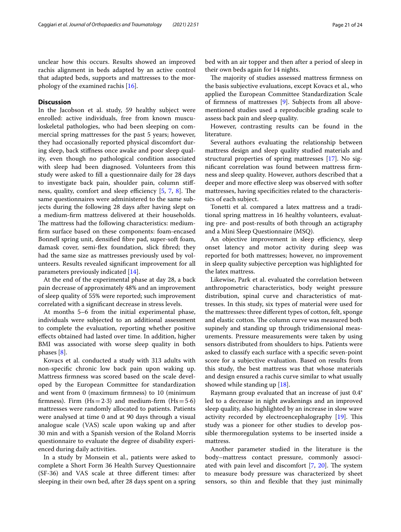unclear how this occurs. Results showed an improved rachis alignment in beds adapted by an active control that adapted beds, supports and mattresses to the morphology of the examined rachis [[16\]](#page-23-11).

## **Discussion**

In the Jacobson et al. study, 59 healthy subject were enrolled: active individuals, free from known musculoskeletal pathologies, who had been sleeping on commercial spring mattresses for the past 5 years; however, they had occasionally reported physical discomfort during sleep, back stifness once awake and poor sleep quality, even though no pathological condition associated with sleep had been diagnosed. Volunteers from this study were asked to fll a questionnaire daily for 28 days to investigate back pain, shoulder pain, column stifness, quality, comfort and sleep efficiency  $[5, 7, 8]$  $[5, 7, 8]$  $[5, 7, 8]$  $[5, 7, 8]$  $[5, 7, 8]$  $[5, 7, 8]$ . The same questionnaires were administered to the same subjects during the following 28 days after having slept on a medium-frm mattress delivered at their households. The mattress had the following characteristics: mediumfrm surface based on these components: foam-encased Bonnell spring unit, densifed fbre pad, super-soft foam, damask cover, semi-fex foundation, slick fbred; they had the same size as mattresses previously used by volunteers. Results revealed signifcant improvement for all parameters previously indicated [[14\]](#page-23-4).

At the end of the experimental phase at day 28, a back pain decrease of approximately 48% and an improvement of sleep quality of 55% were reported; such improvement correlated with a signifcant decrease in stress levels.

At months 5–6 from the initial experimental phase, individuals were subjected to an additional assessment to complete the evaluation, reporting whether positive efects obtained had lasted over time. In addition, higher BMI was associated with worse sleep quality in both phases [[8\]](#page-23-9).

Kovacs et al. conducted a study with 313 adults with non-specifc chronic low back pain upon waking up. Mattress frmness was scored based on the scale developed by the European Committee for standardization and went from 0 (maximum frmness) to 10 (minimum firmness). Firm  $(Hs=2.3)$  and medium-firm  $(Hs=5.6)$ mattresses were randomly allocated to patients. Patients were analysed at time 0 and at 90 days through a visual analogue scale (VAS) scale upon waking up and after 30 min and with a Spanish version of the Roland Morris questionnaire to evaluate the degree of disability experienced during daily activities.

In a study by Monsein et al., patients were asked to complete a Short Form 36 Health Survey Questionnaire (SF-36) and VAS scale at three diferent times: after sleeping in their own bed, after 28 days spent on a spring bed with an air topper and then after a period of sleep in their own beds again for 14 nights.

The majority of studies assessed mattress firmness on the basis subjective evaluations, except Kovacs et al., who applied the European Committee Standardization Scale of frmness of mattresses [[9\]](#page-23-7). Subjects from all abovementioned studies used a reproducible grading scale to assess back pain and sleep quality.

However, contrasting results can be found in the literature.

Several authors evaluating the relationship between mattress design and sleep quality studied materials and structural properties of spring mattresses [[17\]](#page-23-10). No signifcant correlation was found between mattress frmness and sleep quality. However, authors described that a deeper and more efective sleep was observed with softer mattresses, having specifcities related to the characteristics of each subject.

Tonetti et al. compared a latex mattress and a traditional spring mattress in 16 healthy volunteers, evaluating pre- and post-results of both through an actigraphy and a Mini Sleep Questionnaire (MSQ).

An objective improvement in sleep efficiency, sleep onset latency and motor activity during sleep was reported for both mattresses; however, no improvement in sleep quality subjective perception was highlighted for the latex mattress.

Likewise, Park et al. evaluated the correlation between anthropometric characteristics, body weight pressure distribution, spinal curve and characteristics of mattresses. In this study, six types of material were used for the mattresses: three diferent types of cotton, felt, sponge and elastic cotton. The column curve was measured both supinely and standing up through tridimensional measurements. Pressure measurements were taken by using sensors distributed from shoulders to hips. Patients were asked to classify each surface with a specifc seven-point score for a subjective evaluation. Based on results from this study, the best mattress was that whose materials and design ensured a rachis curve similar to what usually showed while standing up [[18\]](#page-23-16).

Raymann group evaluated that an increase of just 0.4° led to a decrease in night awakenings and an improved sleep quality, also highlighted by an increase in slow wave activity recorded by electroencephalography [\[19\]](#page-23-14). This study was a pioneer for other studies to develop possible thermoregulation systems to be inserted inside a mattress.

Another parameter studied in the literature is the body–mattress contact pressure, commonly associated with pain level and discomfort  $[7, 20]$  $[7, 20]$  $[7, 20]$  $[7, 20]$  $[7, 20]$ . The system to measure body pressure was characterized by sheet sensors, so thin and fexible that they just minimally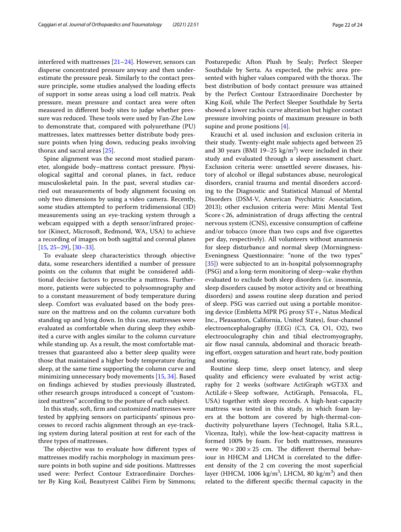interfered with mattresses [\[21–](#page-23-13)[24\]](#page-23-24). However, sensors can

disperse concentrated pressure anyway and then underestimate the pressure peak. Similarly to the contact pressure principle, some studies analysed the loading efects of support in some areas using a load cell matrix. Peak pressure, mean pressure and contact area were often measured in diferent body sites to judge whether pressure was reduced. These tools were used by Fan-Zhe Low to demonstrate that, compared with polyurethane (PU) mattresses, latex mattresses better distribute body pressure points when lying down, reducing peaks involving thorax and sacral areas [[25\]](#page-23-26).

Spine alignment was the second most studied parameter, alongside body–mattress contact pressure. Physiological sagittal and coronal planes, in fact, reduce musculoskeletal pain. In the past, several studies carried out measurements of body alignment focusing on only two dimensions by using a video camera. Recently, some studies attempted to perform tridimensional (3D) measurements using an eye-tracking system through a webcam equipped with a depth sensor/infrared projector (Kinect, Microsoft, Redmond, WA, USA) to achieve a recording of images on both sagittal and coronal planes [[15,](#page-23-6) [25](#page-23-26)[–29\]](#page-23-27), [[30–](#page-23-20)[33](#page-23-32)].

To evaluate sleep characteristics through objective data, some researchers identifed a number of pressure points on the column that might be considered additional decisive factors to prescribe a mattress. Furthermore, patients were subjected to polysomnography and to a constant measurement of body temperature during sleep. Comfort was evaluated based on the body pressure on the mattress and on the column curvature both standing up and lying down. In this case, mattresses were evaluated as comfortable when during sleep they exhibited a curve with angles similar to the column curvature while standing up. As a result, the most comfortable mattresses that guaranteed also a better sleep quality were those that maintained a higher body temperature during sleep, at the same time supporting the column curve and minimizing unnecessary body movements [\[15](#page-23-6), [34\]](#page-23-34). Based on fndings achieved by studies previously illustrated, other research groups introduced a concept of "customized mattress" according to the posture of each subject.

In this study, soft, frm and customized mattresses were tested by applying sensors on participants' spinous processes to record rachis alignment through an eye-tracking system during lateral position at rest for each of the three types of mattresses.

The objective was to evaluate how different types of mattresses modify rachis morphology in maximum pressure points in both supine and side positions. Mattresses used were: Perfect Contour Extraordinaire Dorchester By King Koil, Beautyrest Calibri Firm by Simmons;

Posturepedic Afton Plush by Sealy; Perfect Sleeper Southdale by Serta. As expected, the pelvic area presented with higher values compared with the thorax. The best distribution of body contact pressure was attained by the Perfect Contour Extraordinaire Dorchester by King Koil, while The Perfect Sleeper Southdale by Serta showed a lower rachis curve alteration but higher contact pressure involving points of maximum pressure in both supine and prone positions [[4\]](#page-22-3).

Krauchi et al. used inclusion and exclusion criteria in their study. Twenty-eight male subjects aged between 25 and 30 years (BMI 19–25  $\text{kg/m}^2$ ) were included in their study and evaluated through a sleep assessment chart. Exclusion criteria were: unsettled severe diseases, history of alcohol or illegal substances abuse, neurological disorders, cranial trauma and mental disorders according to the Diagnostic and Statistical Manual of Mental Disorders (DSM-V, American Psychiatric Association, 2013); other exclusion criteria were: Mini Mental Test Score<26, administration of drugs afecting the central nervous system (CNS), excessive consumption of cafeine and/or tobacco (more than two cups and fve cigarettes per day, respectively). All volunteers without anamnesis for sleep disturbance and normal sleep (Morningness-Eveningness Questionnaire: "none of the two types" [[35\]](#page-23-35)) were subjected to an in-hospital polysomnography (PSG) and a long-term monitoring of sleep–wake rhythm evaluated to exclude both sleep disorders (i.e. insomnia, sleep disorders caused by motor activity and or breathing disorders) and assess routine sleep duration and period of sleep. PSG was carried out using a portable monitoring device (Embletta MPR PG proxy ST+, Natus Medical Inc., Pleasanton, California, United States), four-channel electroencephalography (EEG) (C3, C4, O1, O2), two electrooculography chin and tibial electromyography, air flow nasal cannula, abdominal and thoracic breathing effort, oxygen saturation and heart rate, body position and snoring.

Routine sleep time, sleep onset latency, and sleep quality and efficiency were evaluated by wrist actigraphy for 2 weeks (software ActiGraph wGT3X and ActiLife+Sleep software, ActiGraph, Pensacola, FL, USA) together with sleep records. A high-heat-capacity mattress was tested in this study, in which foam layers at the bottom are covered by high-thermal-conductivity polyurethane layers (Technogel, Italia S.R.L., Vicenza, Italy), while the low-heat-capacity mattress is formed 100% by foam. For both mattresses, measures were  $90 \times 200 \times 25$  cm. The different thermal behaviour in HHCM and LHCM is correlated to the diferent density of the 2 cm covering the most superficial layer (HHCM, 1006  $\text{kg/m}^3$ ; LHCM, 80  $\text{kg/m}^3$ ) and then related to the diferent specifc thermal capacity in the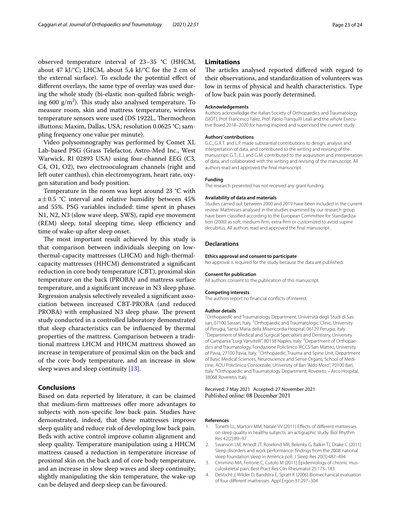observed temperature interval of 23–35 °C (HHCM, about 47 kJ/°C; LHCM, about 5,4 kJ/°C for the 2 cm of the external surface). To exclude the potential efect of diferent overlays, the same type of overlay was used during the whole study (bi-elastic non-quilted fabric weighing 600 g/m<sup>2</sup>). This study also analysed temperature. To measure room, skin and mattress temperature, wireless temperature sensors were used (DS 1922L, Thermochron iButtons; Maxim, Dallas, USA; resolution 0.0625 °C; sampling frequency one value per minute).

Video polysomnography was performed by Comet XL Lab-based PSG (Grass Telefactor, Astro-Med Inc., West Warwick, RI 02893 USA) using four-channel EEG (C3, C4, O1, O2), two electrooculogram channels (right and left outer canthus), chin electromyogram, heart rate, oxygen saturation and body position.

Temperature in the room was kept around 23 °C with a $\pm$ 0.5 °C interval and relative humidity between 45% and 55%. PSG variables included: time spent in phases N1, N2, N3 (slow wave sleep, SWS), rapid eye movement (REM) sleep, total sleeping time, sleep efficiency and time of wake-up after sleep onset.

The most important result achieved by this study is that comparison between individuals sleeping on lowthermal-capacity mattresses (LHCM) and high-thermalcapacity mattresses (HHCM) demonstrated a signifcant reduction in core body temperature (CBT), proximal skin temperature on the back (PROBA) and mattress surface temperature, and a signifcant increase in N3 sleep phase. Regression analysis selectively revealed a signifcant association between increased CBT-PROBA (and reduced PROBA) with emphasized N3 sleep phase. The present study conducted in a controlled laboratory demonstrated that sleep characteristics can be infuenced by thermal properties of the mattress. Comparison between a traditional mattress LHCM and HHCM mattress showed an increase in temperature of proximal skin on the back and of the core body temperature, and an increase in slow sleep waves and sleep continuity [\[13\]](#page-23-12).

## **Conclusions**

Based on data reported by literature, it can be claimed that medium-frm mattresses ofer more advantages to subjects with non-specifc low back pain. Studies have demonstrated, indeed, that these mattresses improve sleep quality and reduce risk of developing low back pain. Beds with active control improve column alignment and sleep quality. Temperature manipulation using a HHCM mattress caused a reduction in temperature increase of proximal skin on the back and of core body temperature, and an increase in slow sleep waves and sleep continuity; slightly manipulating the skin temperature, the wake-up can be delayed and deep sleep can be favoured.

### **Limitations**

The articles analysed reported differed with regard to their observations, and standardization of volunteers was low in terms of physical and health characteristics. Type of low back pain was poorly determined.

#### **Acknowledgements**

Authors acknowledge the Italian Society of Orthopaedics and Traumatology (SIOT), Prof. Francesco Falez, Prof. Paolo Tranquilli Leali and the whole Executive Board 2018–2020 for having inspired and supervised the current study.

#### **Authors' contributions**

G.C., G.R.T. and L.P. made substantial contributions to design, analysis and interpretation of data, and contributed to the writing and revising of the manuscript. G.T., E.J. and G.M. contributed to the acquisition and interpretation of data, and collaborated with the writing and revising of the manuscript. All authors read and approved the fnal manuscript.

#### **Funding**

The research presented has not received any grant funding.

#### **Availability of data and materials**

Studies carried out between 2000 and 2019 have been included in the current review. Mattresses analysed in the studies examined by our research group have been classifed according to the European Committee for Standardization (2000) as soft, medium-frm, extra-frm or customized to avoid supine decubitus. All authors read and approved the fnal manuscript.

#### **Declarations**

#### **Ethics approval and consent to participate**

No approval is required for the study because the data are published.

#### **Consent for publication**

All authors consent to the publication of this manuscript.

#### **Competing interests**

The authors report no fnancial conficts of interest.

#### **Author details**

<sup>1</sup> Orthopaedic and Traumatology Department, Università degli Studi di Sassari, 07100 Sassari, Italy. <sup>2</sup>Orthopaedic and Traumatologic Clinic, University of Perugia, Santa Maria della Misericordia Hospital, 06129 Perugia, Italy. 3 <sup>3</sup> Department of Medical and Surgical Specialties and Dentistry, University of Campania "Luigi Vanvitelli", 80138 Naples, Italy. <sup>4</sup> Department of Orthopaedics and Traumatology, Fondazione Policlinico IRCCS San Matteo, University of Pavia, 27100 Pavia, Italy. <sup>5</sup>Orthopaedic, Trauma and Spine Unit, Department of Basic Medical Sciences, Neuroscience and Sense Organs, School of Medicine, AOU Policlinico Consorziale, University of Bari "Aldo Moro", 70100 Bari, Italy. <sup>6</sup> Orthopaedic and Traumatology Department, Rovereto - Arco Hospital, 38068 Rovereto, Italy.

#### Received: 7 May 2021 Accepted: 27 November 2021 Published online: 08 December 2021

#### **References**

- <span id="page-22-0"></span>1. Tonetti LL, Martoni MM, Natale VV (2011) Efects of diferent mattresses on sleep quality in healthy subjects: an actigraphic study. Biol Rhythm Res 42(2):89–97
- <span id="page-22-1"></span>2. Swanson LM, Arnedt JT, Rosekind MR, Belenky G, Balkin TJ, Drake C (2011) Sleep disorders and work performance: fndings from the 2008 national sleep foundation sleep in America poll. J Sleep Res 20(3):487–494
- <span id="page-22-2"></span>3. Cimmino MA, Ferrone C, Cutolo M (2011) Epidemiology of chronic musculoskeletal pain. Best Pract Res Clin Rheumatol 25:173–183
- <span id="page-22-3"></span>4. DeVocht J, Wilder D, Bandstra E, Spratt K (2006) Biomechanical evaluation of four diferent mattresses. Appl Ergon 37:297–304